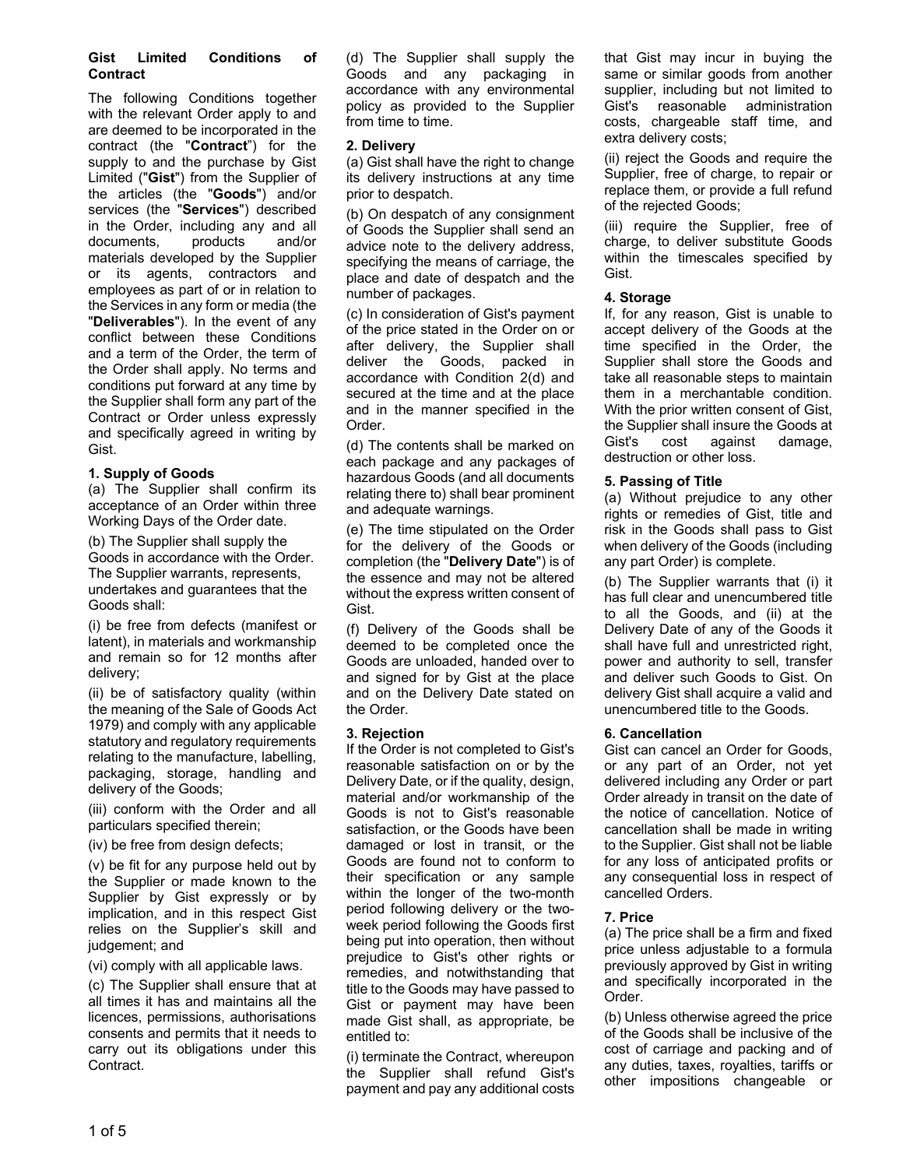#### **Gist Limited Conditions of Contract**

The following Conditions together with the relevant Order apply to and are deemed to be incorporated in the contract (the "**Contract**") for the supply to and the purchase by Gist Limited ("**Gist**") from the Supplier of the articles (the "**Goods**") and/or services (the "**Services**") described in the Order, including any and all<br>documents, products and/or documents, products and/or materials developed by the Supplier or its agents, contractors and employees as part of or in relation to the Services in any form or media (the "**Deliverables**"). In the event of any conflict between these Conditions and a term of the Order, the term of the Order shall apply. No terms and conditions put forward at any time by the Supplier shall form any part of the Contract or Order unless expressly and specifically agreed in writing by Gist.

### **1. Supply of Goods**

(a) The Supplier shall confirm its acceptance of an Order within three Working Days of the Order date.

(b) The Supplier shall supply the Goods in accordance with the Order. The Supplier warrants, represents, undertakes and guarantees that the Goods shall:

(i) be free from defects (manifest or latent), in materials and workmanship and remain so for 12 months after delivery;

(ii) be of satisfactory quality (within the meaning of the Sale of Goods Act 1979) and comply with any applicable statutory and regulatory requirements relating to the manufacture, labelling, packaging, storage, handling and delivery of the Goods;

(iii) conform with the Order and all particulars specified therein;

(iv) be free from design defects;

(v) be fit for any purpose held out by the Supplier or made known to the Supplier by Gist expressly or by implication, and in this respect Gist relies on the Supplier's skill and judgement; and

(vi) comply with all applicable laws.

(c) The Supplier shall ensure that at all times it has and maintains all the licences, permissions, authorisations consents and permits that it needs to carry out its obligations under this Contract.

(d) The Supplier shall supply the Goods and any packaging in accordance with any environmental policy as provided to the Supplier from time to time.

## **2. Delivery**

(a) Gist shall have the right to change its delivery instructions at any time prior to despatch.

(b) On despatch of any consignment of Goods the Supplier shall send an advice note to the delivery address, specifying the means of carriage, the place and date of despatch and the number of packages.

(c) In consideration of Gist's payment of the price stated in the Order on or after delivery, the Supplier shall deliver the Goods, packed in accordance with Condition 2(d) and secured at the time and at the place and in the manner specified in the Order.

(d) The contents shall be marked on each package and any packages of hazardous Goods (and all documents relating there to) shall bear prominent and adequate warnings.

(e) The time stipulated on the Order for the delivery of the Goods or completion (the "**Delivery Date**") is of the essence and may not be altered without the express written consent of Gist.

(f) Delivery of the Goods shall be deemed to be completed once the Goods are unloaded, handed over to and signed for by Gist at the place and on the Delivery Date stated on the Order.

# **3. Rejection**

If the Order is not completed to Gist's reasonable satisfaction on or by the Delivery Date, or if the quality, design, material and/or workmanship of the Goods is not to Gist's reasonable satisfaction, or the Goods have been damaged or lost in transit, or the Goods are found not to conform to their specification or any sample within the longer of the two-month period following delivery or the twoweek period following the Goods first being put into operation, then without prejudice to Gist's other rights or remedies, and notwithstanding that title to the Goods may have passed to Gist or payment may have been made Gist shall, as appropriate, be entitled to:

(i) terminate the Contract, whereupon the Supplier shall refund Gist's payment and pay any additional costs that Gist may incur in buying the same or similar goods from another supplier, including but not limited to Gist's reasonable administration costs, chargeable staff time, and extra delivery costs;

(ii) reject the Goods and require the Supplier, free of charge, to repair or replace them, or provide a full refund of the rejected Goods;

(iii) require the Supplier, free of charge, to deliver substitute Goods within the timescales specified by Gist.

## **4. Storage**

If, for any reason, Gist is unable to accept delivery of the Goods at the time specified in the Order, the Supplier shall store the Goods and take all reasonable steps to maintain them in a merchantable condition. With the prior written consent of Gist, the Supplier shall insure the Goods at Gist's cost against damage, destruction or other loss.

## **5. Passing of Title**

(a) Without prejudice to any other rights or remedies of Gist, title and risk in the Goods shall pass to Gist when delivery of the Goods (including any part Order) is complete.

(b) The Supplier warrants that (i) it has full clear and unencumbered title to all the Goods, and (ii) at the Delivery Date of any of the Goods it shall have full and unrestricted right, power and authority to sell, transfer and deliver such Goods to Gist. On delivery Gist shall acquire a valid and unencumbered title to the Goods.

# **6. Cancellation**

Gist can cancel an Order for Goods, or any part of an Order, not yet delivered including any Order or part Order already in transit on the date of the notice of cancellation. Notice of cancellation shall be made in writing to the Supplier. Gist shall not be liable for any loss of anticipated profits or any consequential loss in respect of cancelled Orders.

# **7. Price**

(a) The price shall be a firm and fixed price unless adjustable to a formula previously approved by Gist in writing and specifically incorporated in the Order.

(b) Unless otherwise agreed the price of the Goods shall be inclusive of the cost of carriage and packing and of any duties, taxes, royalties, tariffs or other impositions changeable or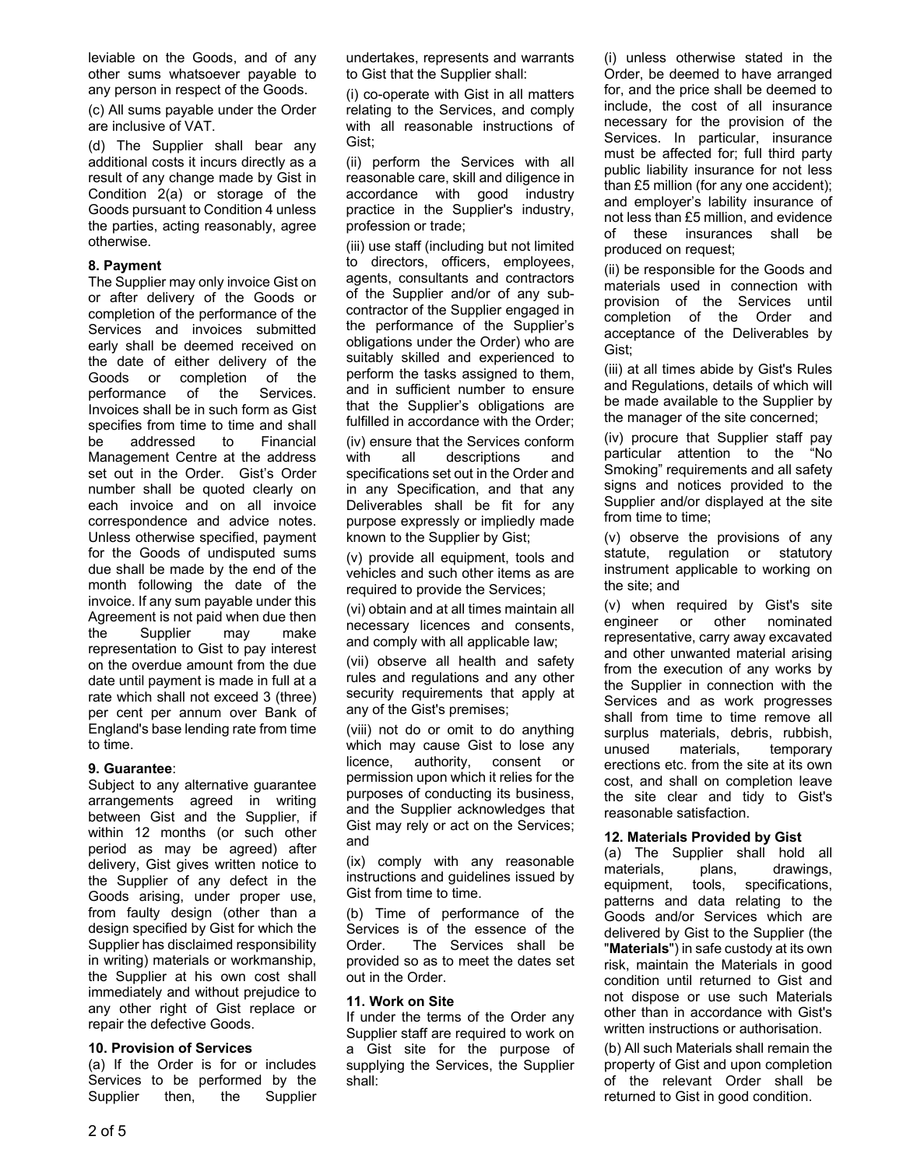leviable on the Goods, and of any other sums whatsoever payable to any person in respect of the Goods.

(c) All sums payable under the Order are inclusive of VAT.

(d) The Supplier shall bear any additional costs it incurs directly as a result of any change made by Gist in Condition 2(a) or storage of the Goods pursuant to Condition 4 unless the parties, acting reasonably, agree otherwise.

### **8. Payment**

The Supplier may only invoice Gist on or after delivery of the Goods or completion of the performance of the Services and invoices submitted early shall be deemed received on the date of either delivery of the Goods or completion of the performance of the Services. Invoices shall be in such form as Gist specifies from time to time and shall be addressed to Financial Management Centre at the address set out in the Order. Gist's Order number shall be quoted clearly on each invoice and on all invoice correspondence and advice notes. Unless otherwise specified, payment for the Goods of undisputed sums due shall be made by the end of the month following the date of the invoice. If any sum payable under this Agreement is not paid when due then the Supplier may make representation to Gist to pay interest on the overdue amount from the due date until payment is made in full at a rate which shall not exceed 3 (three) per cent per annum over Bank of England's base lending rate from time to time.

#### **9. Guarantee**:

Subject to any alternative guarantee arrangements agreed in writing between Gist and the Supplier, if within 12 months (or such other period as may be agreed) after delivery, Gist gives written notice to the Supplier of any defect in the Goods arising, under proper use, from faulty design (other than a design specified by Gist for which the Supplier has disclaimed responsibility in writing) materials or workmanship, the Supplier at his own cost shall immediately and without prejudice to any other right of Gist replace or repair the defective Goods.

### **10. Provision of Services**

(a) If the Order is for or includes Services to be performed by the Supplier then, the Supplier undertakes, represents and warrants to Gist that the Supplier shall:

(i) co-operate with Gist in all matters relating to the Services, and comply with all reasonable instructions of Gist;

(ii) perform the Services with all reasonable care, skill and diligence in accordance with good industry practice in the Supplier's industry, profession or trade;

(iii) use staff (including but not limited to directors, officers, employees, agents, consultants and contractors of the Supplier and/or of any subcontractor of the Supplier engaged in the performance of the Supplier's obligations under the Order) who are suitably skilled and experienced to perform the tasks assigned to them, and in sufficient number to ensure that the Supplier's obligations are fulfilled in accordance with the Order;

(iv) ensure that the Services conform with all descriptions and specifications set out in the Order and in any Specification, and that any Deliverables shall be fit for any purpose expressly or impliedly made known to the Supplier by Gist;

(v) provide all equipment, tools and vehicles and such other items as are required to provide the Services;

(vi) obtain and at all times maintain all necessary licences and consents, and comply with all applicable law;

(vii) observe all health and safety rules and regulations and any other security requirements that apply at any of the Gist's premises;

(viii) not do or omit to do anything which may cause Gist to lose any licence, authority, consent or permission upon which it relies for the purposes of conducting its business, and the Supplier acknowledges that Gist may rely or act on the Services; and

(ix) comply with any reasonable instructions and guidelines issued by Gist from time to time.

(b) Time of performance of the Services is of the essence of the Order. The Services shall be provided so as to meet the dates set out in the Order.

### **11. Work on Site**

If under the terms of the Order any Supplier staff are required to work on a Gist site for the purpose of supplying the Services, the Supplier shall:

(i) unless otherwise stated in the Order, be deemed to have arranged for, and the price shall be deemed to include, the cost of all insurance necessary for the provision of the Services. In particular, insurance must be affected for; full third party public liability insurance for not less than £5 million (for any one accident); and employer's lability insurance of not less than £5 million, and evidence of these insurances shall be produced on request;

(ii) be responsible for the Goods and materials used in connection with provision of the Services until completion of the Order and acceptance of the Deliverables by Gist;

(iii) at all times abide by Gist's Rules and Regulations, details of which will be made available to the Supplier by the manager of the site concerned;

(iv) procure that Supplier staff pay particular attention to the "No Smoking" requirements and all safety signs and notices provided to the Supplier and/or displayed at the site from time to time;

(v) observe the provisions of any statute, regulation or statutory instrument applicable to working on the site; and

(v) when required by Gist's site engineer or other nominated representative, carry away excavated and other unwanted material arising from the execution of any works by the Supplier in connection with the Services and as work progresses shall from time to time remove all surplus materials, debris, rubbish, unused materials, temporary erections etc. from the site at its own cost, and shall on completion leave the site clear and tidy to Gist's reasonable satisfaction.

### **12. Materials Provided by Gist**

(a) The Supplier shall hold all materials, plans, drawings, equipment, tools, specifications, patterns and data relating to the Goods and/or Services which are delivered by Gist to the Supplier (the "**Materials**") in safe custody at its own risk, maintain the Materials in good condition until returned to Gist and not dispose or use such Materials other than in accordance with Gist's written instructions or authorisation.

(b) All such Materials shall remain the property of Gist and upon completion of the relevant Order shall be returned to Gist in good condition.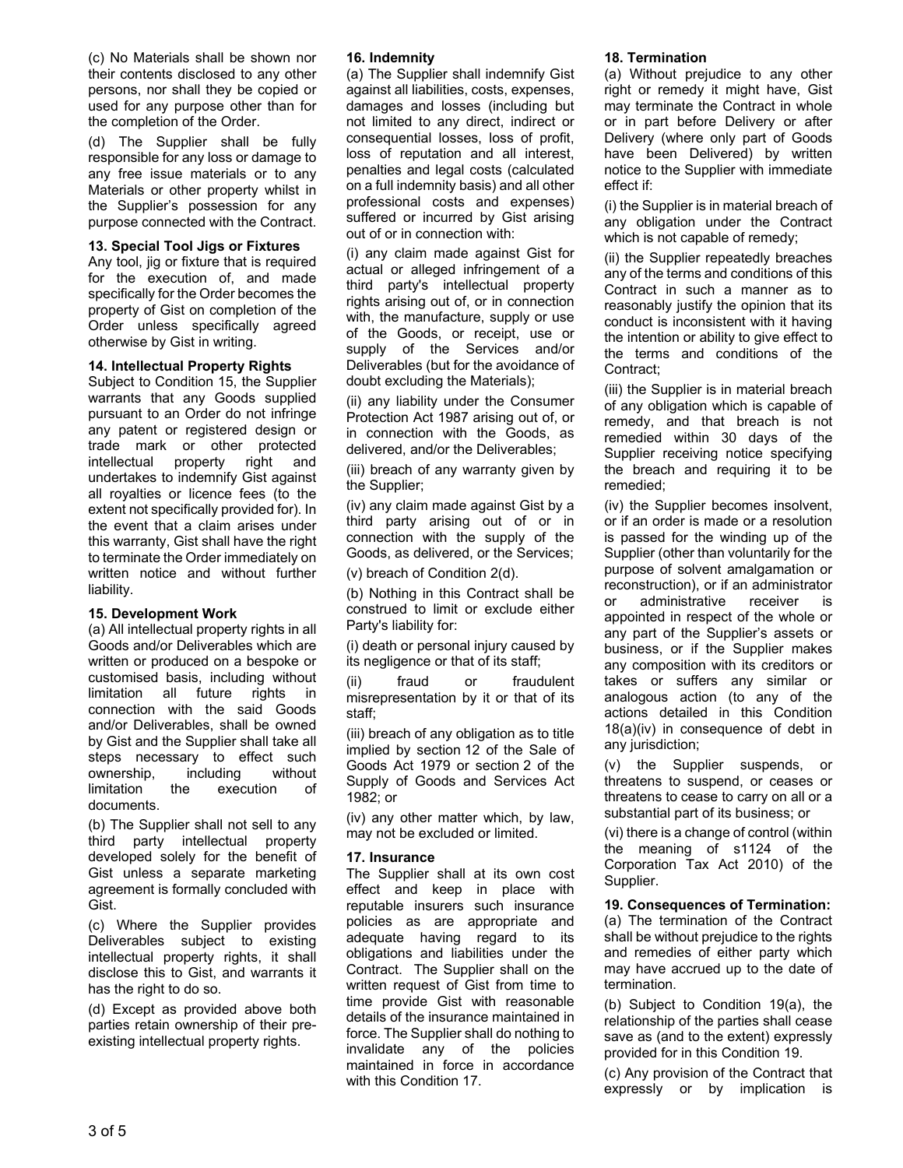(c) No Materials shall be shown nor their contents disclosed to any other persons, nor shall they be copied or used for any purpose other than for the completion of the Order.

(d) The Supplier shall be fully responsible for any loss or damage to any free issue materials or to any Materials or other property whilst in the Supplier's possession for any purpose connected with the Contract.

#### **13. Special Tool Jigs or Fixtures**

Any tool, jig or fixture that is required for the execution of, and made specifically for the Order becomes the property of Gist on completion of the Order unless specifically agreed otherwise by Gist in writing.

### **14. Intellectual Property Rights**

Subject to Condition 15, the Supplier warrants that any Goods supplied pursuant to an Order do not infringe any patent or registered design or trade mark or other protected intellectual property right and undertakes to indemnify Gist against all royalties or licence fees (to the extent not specifically provided for). In the event that a claim arises under this warranty, Gist shall have the right to terminate the Order immediately on written notice and without further liability.

### **15. Development Work**

(a) All intellectual property rights in all Goods and/or Deliverables which are written or produced on a bespoke or customised basis, including without limitation all future rights in connection with the said Goods and/or Deliverables, shall be owned by Gist and the Supplier shall take all steps necessary to effect such ownership, including without limitation the execution of documents.

(b) The Supplier shall not sell to any third party intellectual property developed solely for the benefit of Gist unless a separate marketing agreement is formally concluded with Gist.

(c) Where the Supplier provides Deliverables subject to existing intellectual property rights, it shall disclose this to Gist, and warrants it has the right to do so.

(d) Except as provided above both parties retain ownership of their preexisting intellectual property rights.

#### **16. Indemnity**

(a) The Supplier shall indemnify Gist against all liabilities, costs, expenses, damages and losses (including but not limited to any direct, indirect or consequential losses, loss of profit, loss of reputation and all interest, penalties and legal costs (calculated on a full indemnity basis) and all other professional costs and expenses) suffered or incurred by Gist arising out of or in connection with:

(i) any claim made against Gist for actual or alleged infringement of a third party's intellectual property rights arising out of, or in connection with, the manufacture, supply or use of the Goods, or receipt, use or supply of the Services and/or Deliverables (but for the avoidance of doubt excluding the Materials);

(ii) any liability under the Consumer Protection Act 1987 arising out of, or in connection with the Goods, as delivered, and/or the Deliverables;

(iii) breach of any warranty given by the Supplier;

(iv) any claim made against Gist by a third party arising out of or in connection with the supply of the Goods, as delivered, or the Services;

(v) breach of Condition 2(d).

(b) Nothing in this Contract shall be construed to limit or exclude either Party's liability for:

(i) death or personal injury caused by its negligence or that of its staff;

(ii) fraud or fraudulent misrepresentation by it or that of its staff;

(iii) breach of any obligation as to title implied by section 12 of the Sale of Goods Act 1979 or section 2 of the Supply of Goods and Services Act 1982; or

(iv) any other matter which, by law, may not be excluded or limited.

#### **17. Insurance**

The Supplier shall at its own cost effect and keep in place with reputable insurers such insurance policies as are appropriate and adequate having regard to its obligations and liabilities under the Contract. The Supplier shall on the written request of Gist from time to time provide Gist with reasonable details of the insurance maintained in force. The Supplier shall do nothing to invalidate any of the policies maintained in force in accordance with this Condition 17.

#### **18. Termination**

(a) Without prejudice to any other right or remedy it might have, Gist may terminate the Contract in whole or in part before Delivery or after Delivery (where only part of Goods have been Delivered) by written notice to the Supplier with immediate effect if:

(i) the Supplier is in material breach of any obligation under the Contract which is not capable of remedy;

(ii) the Supplier repeatedly breaches any of the terms and conditions of this Contract in such a manner as to reasonably justify the opinion that its conduct is inconsistent with it having the intention or ability to give effect to the terms and conditions of the Contract;

(iii) the Supplier is in material breach of any obligation which is capable of remedy, and that breach is not remedied within 30 days of the Supplier receiving notice specifying the breach and requiring it to be remedied;

(iv) the Supplier becomes insolvent, or if an order is made or a resolution is passed for the winding up of the Supplier (other than voluntarily for the purpose of solvent amalgamation or reconstruction), or if an administrator or administrative receiver is appointed in respect of the whole or any part of the Supplier's assets or business, or if the Supplier makes any composition with its creditors or takes or suffers any similar or analogous action (to any of the actions detailed in this Condition 18(a)(iv) in consequence of debt in any jurisdiction;

(v) the Supplier suspends, or threatens to suspend, or ceases or threatens to cease to carry on all or a substantial part of its business; or

(vi) there is a change of control (within the meaning of s1124 of the Corporation Tax Act 2010) of the Supplier.

**19. Consequences of Termination:** (a) The termination of the Contract shall be without prejudice to the rights and remedies of either party which may have accrued up to the date of termination.

(b) Subject to Condition 19(a), the relationship of the parties shall cease save as (and to the extent) expressly provided for in this Condition 19.

(c) Any provision of the Contract that expressly or by implication is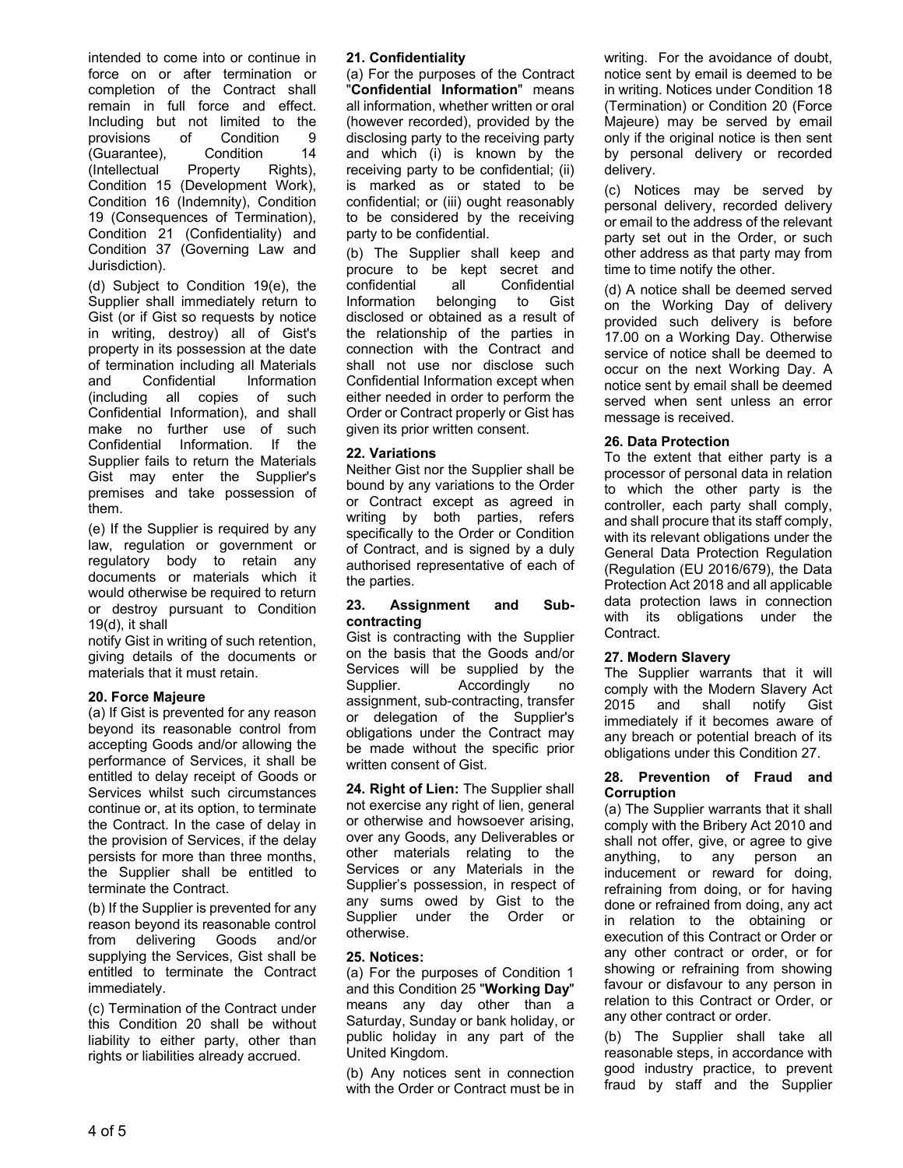intended to come into or continue in force on or after termination or completion of the Contract shall remain in full force and effect. Including but not limited to the provisions of Condition 9 (Guarantee), Condition 14 (Intellectual Property Rights), Condition 15 (Development Work), Condition 16 (Indemnity), Condition 19 (Consequences of Termination), Condition 21 (Confidentiality) and Condition 37 (Governing Law and Jurisdiction).

(d) Subject to Condition 19(e), the Supplier shall immediately return to Gist (or if Gist so requests by notice in writing, destroy) all of Gist's property in its possession at the date of termination including all Materials and Confidential Information (including all copies of such Confidential Information), and shall make no further use of such Confidential Information. If the Supplier fails to return the Materials Gist may enter the Supplier's premises and take possession of them.

(e) If the Supplier is required by any law, regulation or government or regulatory body to retain any documents or materials which it would otherwise be required to return or destroy pursuant to Condition 19(d), it shall

notify Gist in writing of such retention, giving details of the documents or materials that it must retain.

### **20. Force Majeure**

(a) If Gist is prevented for any reason beyond its reasonable control from accepting Goods and/or allowing the performance of Services, it shall be entitled to delay receipt of Goods or Services whilst such circumstances continue or, at its option, to terminate the Contract. In the case of delay in the provision of Services, if the delay persists for more than three months, the Supplier shall be entitled to terminate the Contract.

(b) If the Supplier is prevented for any reason beyond its reasonable control from delivering Goods and/or supplying the Services, Gist shall be entitled to terminate the Contract immediately.

(c) Termination of the Contract under this Condition 20 shall be without liability to either party, other than rights or liabilities already accrued.

#### **21. Confidentiality**

(a) For the purposes of the Contract "**Confidential Information**" means all information, whether written or oral (however recorded), provided by the disclosing party to the receiving party and which (i) is known by the receiving party to be confidential; (ii) is marked as or stated to be confidential; or (iii) ought reasonably to be considered by the receiving party to be confidential.

(b) The Supplier shall keep and procure to be kept secret and confidential all Confidential Information belonging to Gist disclosed or obtained as a result of the relationship of the parties in connection with the Contract and shall not use nor disclose such Confidential Information except when either needed in order to perform the Order or Contract properly or Gist has given its prior written consent.

#### **22. Variations**

Neither Gist nor the Supplier shall be bound by any variations to the Order or Contract except as agreed in writing by both parties, refers specifically to the Order or Condition of Contract, and is signed by a duly authorised representative of each of the parties.

#### **23. Assignment and Subcontracting**

Gist is contracting with the Supplier on the basis that the Goods and/or Services will be supplied by the Supplier. Accordingly no assignment, sub-contracting, transfer or delegation of the Supplier's obligations under the Contract may be made without the specific prior written consent of Gist.

**24. Right of Lien:** The Supplier shall not exercise any right of lien, general or otherwise and howsoever arising, over any Goods, any Deliverables or other materials relating to the Services or any Materials in the Supplier's possession, in respect of any sums owed by Gist to the Supplier under the Order or otherwise.

#### **25. Notices:**

(a) For the purposes of Condition 1 and this Condition 25 "**Working Day**" means any day other than a Saturday, Sunday or bank holiday, or public holiday in any part of the United Kingdom.

(b) Any notices sent in connection with the Order or Contract must be in writing. For the avoidance of doubt, notice sent by email is deemed to be in writing. Notices under Condition 18 (Termination) or Condition 20 (Force Majeure) may be served by email only if the original notice is then sent by personal delivery or recorded delivery.

(c) Notices may be served by personal delivery, recorded delivery or email to the address of the relevant party set out in the Order, or such other address as that party may from time to time notify the other.

(d) A notice shall be deemed served on the Working Day of delivery provided such delivery is before 17.00 on a Working Day. Otherwise service of notice shall be deemed to occur on the next Working Day. A notice sent by email shall be deemed served when sent unless an error message is received.

#### **26. Data Protection**

To the extent that either party is a processor of personal data in relation to which the other party is the controller, each party shall comply, and shall procure that its staff comply, with its relevant obligations under the General Data Protection Regulation (Regulation (EU 2016/679), the Data Protection Act 2018 and all applicable data protection laws in connection with its obligations under the Contract.

#### **27. Modern Slavery**

The Supplier warrants that it will comply with the Modern Slavery Act 2015 and shall notify Gist immediately if it becomes aware of any breach or potential breach of its obligations under this Condition 27.

#### **28. Prevention of Fraud and Corruption**

(a) The Supplier warrants that it shall comply with the Bribery Act 2010 and shall not offer, give, or agree to give anything, to any person an inducement or reward for doing, refraining from doing, or for having done or refrained from doing, any act in relation to the obtaining or execution of this Contract or Order or any other contract or order, or for showing or refraining from showing favour or disfavour to any person in relation to this Contract or Order, or any other contract or order.

(b) The Supplier shall take all reasonable steps, in accordance with good industry practice, to prevent fraud by staff and the Supplier